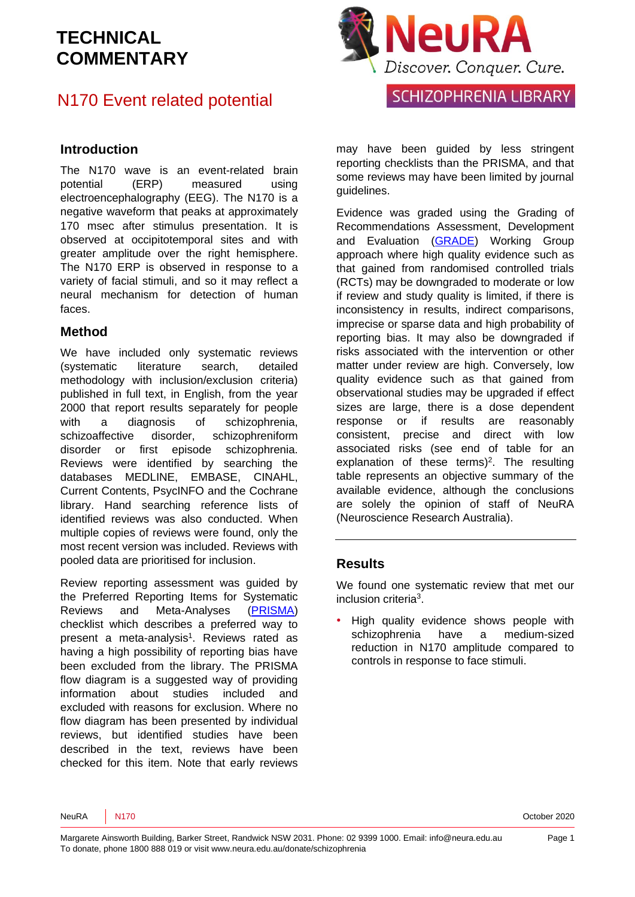## N170 Event related potential

#### **Introduction**

The N170 wave is an event-related brain potential (ERP) measured using electroencephalography (EEG). The N170 is a negative waveform that peaks at approximately 170 msec after stimulus presentation. It is observed at occipitotemporal sites and with greater amplitude over the right hemisphere. The N170 ERP is observed in response to a variety of facial stimuli, and so it may reflect a neural mechanism for detection of human faces.

#### **Method**

We have included only systematic reviews (systematic literature search, detailed methodology with inclusion/exclusion criteria) published in full text, in English, from the year 2000 that report results separately for people with a diagnosis of schizophrenia, schizoaffective disorder, schizophreniform disorder or first episode schizophrenia. Reviews were identified by searching the databases MEDLINE, EMBASE, CINAHL, Current Contents, PsycINFO and the Cochrane library. Hand searching reference lists of identified reviews was also conducted. When multiple copies of reviews were found, only the most recent version was included. Reviews with pooled data are prioritised for inclusion.

Review reporting assessment was guided by the Preferred Reporting Items for Systematic Reviews and Meta-Analyses [\(PRISMA\)](http://www.prisma-statement.org/) checklist which describes a preferred way to present a meta-analysis<sup>1</sup>. Reviews rated as having a high possibility of reporting bias have been excluded from the library. The PRISMA flow diagram is a suggested way of providing information about studies included and excluded with reasons for exclusion. Where no flow diagram has been presented by individual reviews, but identified studies have been described in the text, reviews have been checked for this item. Note that early reviews



may have been guided by less stringent reporting checklists than the PRISMA, and that some reviews may have been limited by journal guidelines.

Evidence was graded using the Grading of Recommendations Assessment, Development and Evaluation [\(GRADE\)](http://www.gradeworkinggroup.org/) Working Group approach where high quality evidence such as that gained from randomised controlled trials (RCTs) may be downgraded to moderate or low if review and study quality is limited, if there is inconsistency in results, indirect comparisons, imprecise or sparse data and high probability of reporting bias. It may also be downgraded if risks associated with the intervention or other matter under review are high. Conversely, low quality evidence such as that gained from observational studies may be upgraded if effect sizes are large, there is a dose dependent response or if results are reasonably consistent, precise and direct with low associated risks (see end of table for an explanation of these terms)<sup>2</sup>. The resulting table represents an objective summary of the available evidence, although the conclusions are solely the opinion of staff of NeuRA (Neuroscience Research Australia).

#### **Results**

We found one systematic review that met our inclusion criteria<sup>3</sup>.

• High quality evidence shows people with schizophrenia have a medium-sized reduction in N170 amplitude compared to controls in response to face stimuli.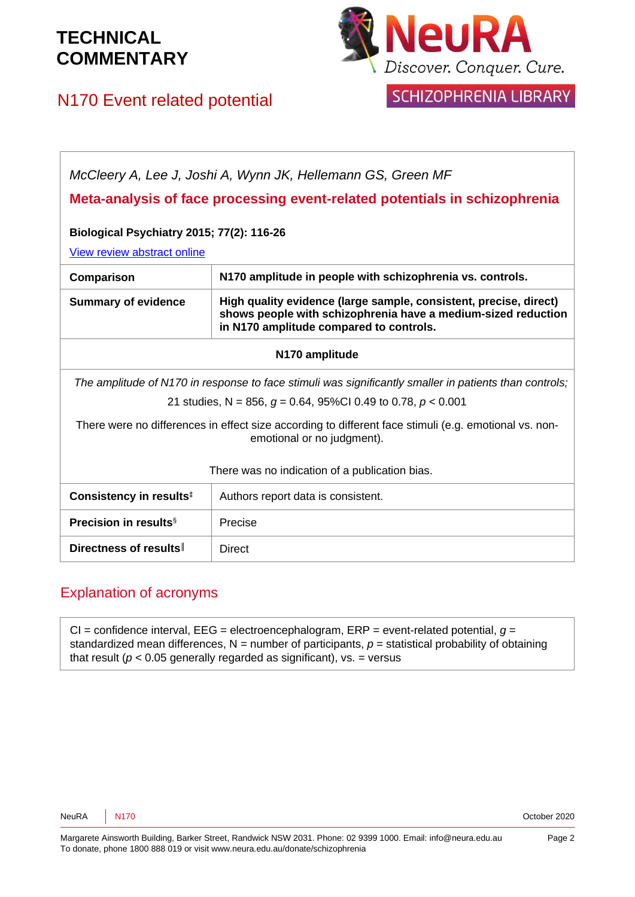N170 Event related potential

# **JeuRA** Discover. Conquer. Cure.

# SCHIZOPHRENIA LIBRARY

| McCleery A, Lee J, Joshi A, Wynn JK, Hellemann GS, Green MF<br>Meta-analysis of face processing event-related potentials in schizophrenia |                                                                                                                                                                               |
|-------------------------------------------------------------------------------------------------------------------------------------------|-------------------------------------------------------------------------------------------------------------------------------------------------------------------------------|
| <b>Biological Psychiatry 2015; 77(2): 116-26</b>                                                                                          |                                                                                                                                                                               |
| View review abstract online                                                                                                               |                                                                                                                                                                               |
| Comparison                                                                                                                                | N170 amplitude in people with schizophrenia vs. controls.                                                                                                                     |
| <b>Summary of evidence</b>                                                                                                                | High quality evidence (large sample, consistent, precise, direct)<br>shows people with schizophrenia have a medium-sized reduction<br>in N170 amplitude compared to controls. |
| N170 amplitude                                                                                                                            |                                                                                                                                                                               |
| The amplitude of N170 in response to face stimuli was significantly smaller in patients than controls;                                    |                                                                                                                                                                               |
| 21 studies, N = 856, $q = 0.64$ , 95%CI 0.49 to 0.78, $p < 0.001$                                                                         |                                                                                                                                                                               |
| There were no differences in effect size according to different face stimuli (e.g. emotional vs. non-<br>emotional or no judgment).       |                                                                                                                                                                               |
| There was no indication of a publication bias.                                                                                            |                                                                                                                                                                               |
| Consistency in results <sup>‡</sup>                                                                                                       | Authors report data is consistent.                                                                                                                                            |
| <b>Precision in results</b> <sup>§</sup>                                                                                                  | Precise                                                                                                                                                                       |
| Directness of results                                                                                                                     | <b>Direct</b>                                                                                                                                                                 |

#### Explanation of acronyms

CI = confidence interval, EEG = electroencephalogram, ERP = event-related potential, *g* = standardized mean differences,  $N =$  number of participants,  $p =$  statistical probability of obtaining that result ( $p < 0.05$  generally regarded as significant), vs. = versus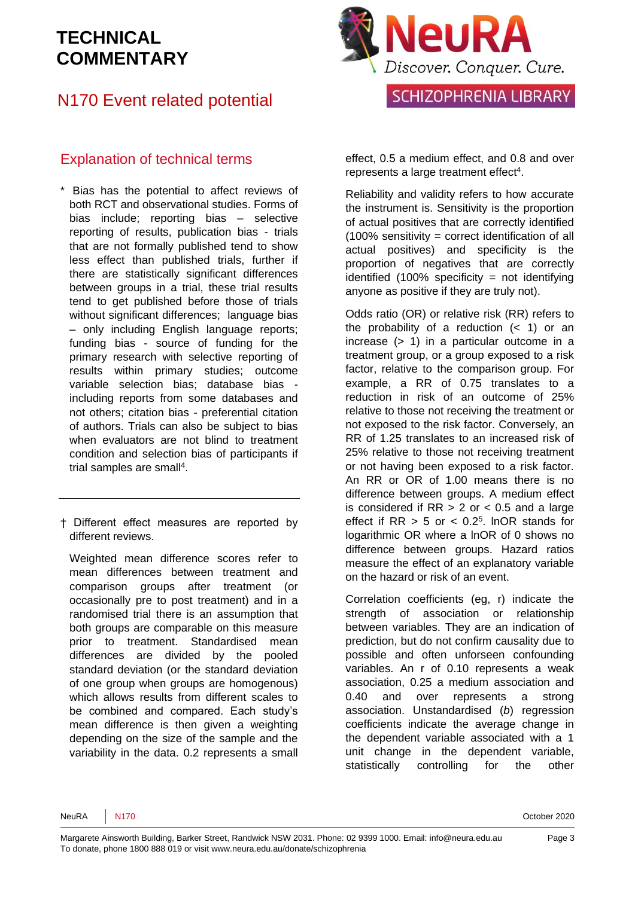## N170 Event related potential

#### Explanation of technical terms

- \* Bias has the potential to affect reviews of both RCT and observational studies. Forms of bias include; reporting bias – selective reporting of results, publication bias - trials that are not formally published tend to show less effect than published trials, further if there are statistically significant differences between groups in a trial, these trial results tend to get published before those of trials without significant differences; language bias – only including English language reports; funding bias - source of funding for the primary research with selective reporting of results within primary studies; outcome variable selection bias; database bias including reports from some databases and not others; citation bias - preferential citation of authors. Trials can also be subject to bias when evaluators are not blind to treatment condition and selection bias of participants if trial samples are small<sup>4</sup>.
- † Different effect measures are reported by different reviews.

Weighted mean difference scores refer to mean differences between treatment and comparison groups after treatment (or occasionally pre to post treatment) and in a randomised trial there is an assumption that both groups are comparable on this measure prior to treatment. Standardised mean differences are divided by the pooled standard deviation (or the standard deviation of one group when groups are homogenous) which allows results from different scales to be combined and compared. Each study's mean difference is then given a weighting depending on the size of the sample and the variability in the data. 0.2 represents a small



effect, 0.5 a medium effect, and 0.8 and over represents a large treatment effect<sup>4</sup>.

Reliability and validity refers to how accurate the instrument is. Sensitivity is the proportion of actual positives that are correctly identified (100% sensitivity = correct identification of all actual positives) and specificity is the proportion of negatives that are correctly identified  $(100\%$  specificity = not identifying anyone as positive if they are truly not).

Odds ratio (OR) or relative risk (RR) refers to the probability of a reduction  $($  1) or an increase (> 1) in a particular outcome in a treatment group, or a group exposed to a risk factor, relative to the comparison group. For example, a RR of 0.75 translates to a reduction in risk of an outcome of 25% relative to those not receiving the treatment or not exposed to the risk factor. Conversely, an RR of 1.25 translates to an increased risk of 25% relative to those not receiving treatment or not having been exposed to a risk factor. An RR or OR of 1.00 means there is no difference between groups. A medium effect is considered if  $RR > 2$  or  $< 0.5$  and a large effect if  $RR > 5$  or  $< 0.2<sup>5</sup>$ . InOR stands for logarithmic OR where a lnOR of 0 shows no difference between groups. Hazard ratios measure the effect of an explanatory variable on the hazard or risk of an event.

Correlation coefficients (eg, r) indicate the strength of association or relationship between variables. They are an indication of prediction, but do not confirm causality due to possible and often unforseen confounding variables. An r of 0.10 represents a weak association, 0.25 a medium association and 0.40 and over represents a strong association. Unstandardised (*b*) regression coefficients indicate the average change in the dependent variable associated with a 1 unit change in the dependent variable, statistically controlling for the other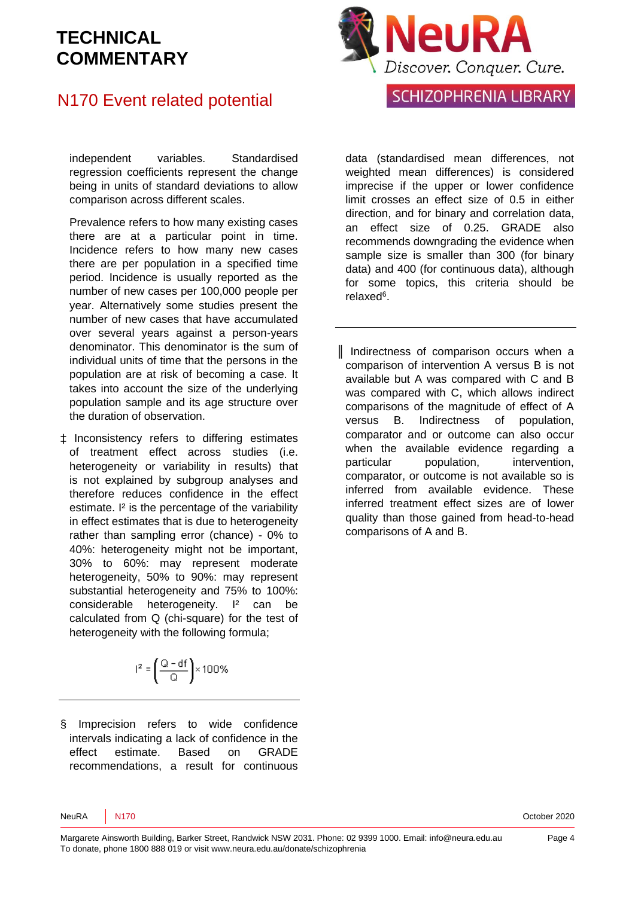## N170 Event related potential

independent variables. Standardised regression coefficients represent the change being in units of standard deviations to allow comparison across different scales.

Prevalence refers to how many existing cases there are at a particular point in time. Incidence refers to how many new cases there are per population in a specified time period. Incidence is usually reported as the number of new cases per 100,000 people per year. Alternatively some studies present the number of new cases that have accumulated over several years against a person-years denominator. This denominator is the sum of individual units of time that the persons in the population are at risk of becoming a case. It takes into account the size of the underlying population sample and its age structure over the duration of observation.

‡ Inconsistency refers to differing estimates of treatment effect across studies (i.e. heterogeneity or variability in results) that is not explained by subgroup analyses and therefore reduces confidence in the effect estimate. I² is the percentage of the variability in effect estimates that is due to heterogeneity rather than sampling error (chance) - 0% to 40%: heterogeneity might not be important, 30% to 60%: may represent moderate heterogeneity, 50% to 90%: may represent substantial heterogeneity and 75% to 100%: considerable heterogeneity. I² can be calculated from Q (chi-square) for the test of heterogeneity with the following formula;

$$
l^2 = \left(\frac{Q - df}{Q}\right) \times 100\%
$$

§ Imprecision refers to wide confidence intervals indicating a lack of confidence in the effect estimate. Based on GRADE recommendations, a result for continuous



## SCHIZOPHRENIA LIBRARY

data (standardised mean differences, not weighted mean differences) is considered imprecise if the upper or lower confidence limit crosses an effect size of 0.5 in either direction, and for binary and correlation data, an effect size of 0.25. GRADE also recommends downgrading the evidence when sample size is smaller than 300 (for binary data) and 400 (for continuous data), although for some topics, this criteria should be relaxed<sup>6</sup>.

║ Indirectness of comparison occurs when a comparison of intervention A versus B is not available but A was compared with C and B was compared with C, which allows indirect comparisons of the magnitude of effect of A versus B. Indirectness of population, comparator and or outcome can also occur when the available evidence regarding a particular population, intervention, comparator, or outcome is not available so is inferred from available evidence. These inferred treatment effect sizes are of lower quality than those gained from head-to-head comparisons of A and B.

NeuRA N170 October 2020

Margarete Ainsworth Building, Barker Street, Randwick NSW 2031. Phone: 02 9399 1000. Email: info@neura.edu.au To donate, phone 1800 888 019 or visit www.neura.edu.au/donate/schizophrenia